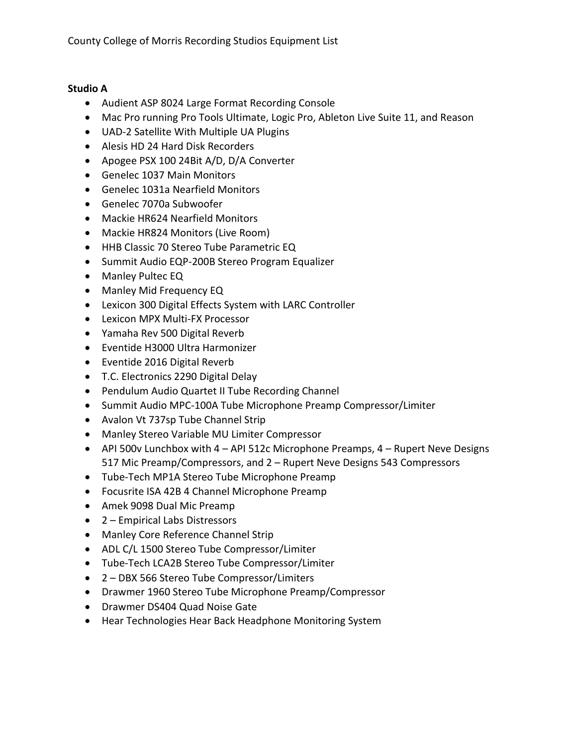## **Studio A**

- Audient ASP 8024 Large Format Recording Console
- Mac Pro running Pro Tools Ultimate, Logic Pro, Ableton Live Suite 11, and Reason
- UAD-2 Satellite With Multiple UA Plugins
- Alesis HD 24 Hard Disk Recorders
- Apogee PSX 100 24Bit A/D, D/A Converter
- Genelec 1037 Main Monitors
- Genelec 1031a Nearfield Monitors
- Genelec 7070a Subwoofer
- Mackie HR624 Nearfield Monitors
- Mackie HR824 Monitors (Live Room)
- HHB Classic 70 Stereo Tube Parametric EQ
- Summit Audio EQP-200B Stereo Program Equalizer
- Manley Pultec EQ
- Manley Mid Frequency EQ
- Lexicon 300 Digital Effects System with LARC Controller
- Lexicon MPX Multi-FX Processor
- Yamaha Rev 500 Digital Reverb
- Eventide H3000 Ultra Harmonizer
- Eventide 2016 Digital Reverb
- T.C. Electronics 2290 Digital Delay
- Pendulum Audio Quartet II Tube Recording Channel
- Summit Audio MPC-100A Tube Microphone Preamp Compressor/Limiter
- Avalon Vt 737sp Tube Channel Strip
- Manley Stereo Variable MU Limiter Compressor
- API 500v Lunchbox with  $4 API$  512c Microphone Preamps,  $4 R$ upert Neve Designs 517 Mic Preamp/Compressors, and 2 – Rupert Neve Designs 543 Compressors
- Tube-Tech MP1A Stereo Tube Microphone Preamp
- Focusrite ISA 42B 4 Channel Microphone Preamp
- Amek 9098 Dual Mic Preamp
- 2 Empirical Labs Distressors
- Manley Core Reference Channel Strip
- ADL C/L 1500 Stereo Tube Compressor/Limiter
- Tube-Tech LCA2B Stereo Tube Compressor/Limiter
- 2 DBX 566 Stereo Tube Compressor/Limiters
- Drawmer 1960 Stereo Tube Microphone Preamp/Compressor
- Drawmer DS404 Quad Noise Gate
- Hear Technologies Hear Back Headphone Monitoring System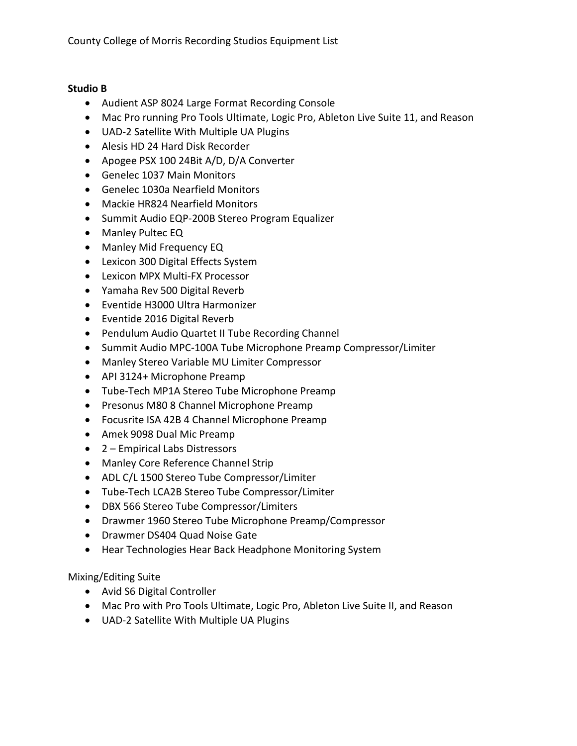## **Studio B**

- Audient ASP 8024 Large Format Recording Console
- Mac Pro running Pro Tools Ultimate, Logic Pro, Ableton Live Suite 11, and Reason
- UAD-2 Satellite With Multiple UA Plugins
- Alesis HD 24 Hard Disk Recorder
- Apogee PSX 100 24Bit A/D, D/A Converter
- Genelec 1037 Main Monitors
- Genelec 1030a Nearfield Monitors
- Mackie HR824 Nearfield Monitors
- Summit Audio EQP-200B Stereo Program Equalizer
- Manley Pultec EQ
- Manley Mid Frequency EQ
- Lexicon 300 Digital Effects System
- Lexicon MPX Multi-FX Processor
- Yamaha Rev 500 Digital Reverb
- Eventide H3000 Ultra Harmonizer
- Eventide 2016 Digital Reverb
- Pendulum Audio Quartet II Tube Recording Channel
- Summit Audio MPC-100A Tube Microphone Preamp Compressor/Limiter
- Manley Stereo Variable MU Limiter Compressor
- API 3124+ Microphone Preamp
- Tube-Tech MP1A Stereo Tube Microphone Preamp
- Presonus M80 8 Channel Microphone Preamp
- Focusrite ISA 42B 4 Channel Microphone Preamp
- Amek 9098 Dual Mic Preamp
- 2 Empirical Labs Distressors
- Manley Core Reference Channel Strip
- ADL C/L 1500 Stereo Tube Compressor/Limiter
- Tube-Tech LCA2B Stereo Tube Compressor/Limiter
- DBX 566 Stereo Tube Compressor/Limiters
- Drawmer 1960 Stereo Tube Microphone Preamp/Compressor
- Drawmer DS404 Quad Noise Gate
- Hear Technologies Hear Back Headphone Monitoring System

Mixing/Editing Suite

- Avid S6 Digital Controller
- Mac Pro with Pro Tools Ultimate, Logic Pro, Ableton Live Suite II, and Reason
- UAD-2 Satellite With Multiple UA Plugins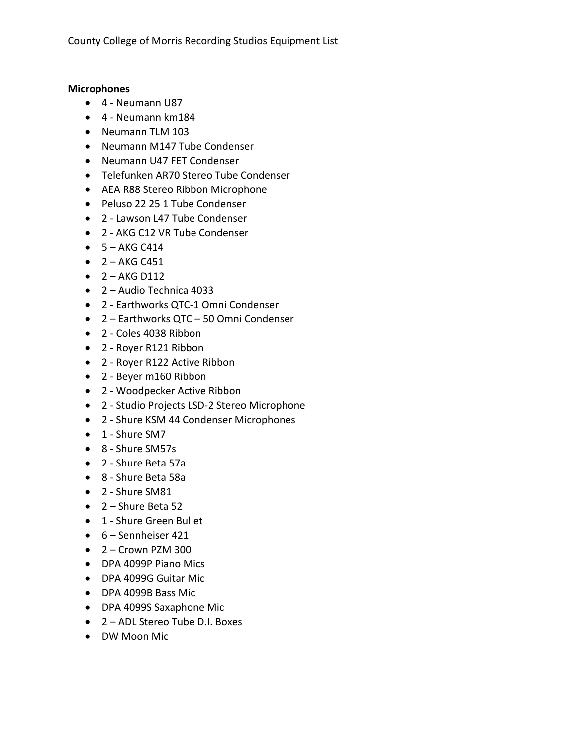County College of Morris Recording Studios Equipment List

## **Microphones**

- 4 Neumann U87
- 4 Neumann km184
- Neumann TLM 103
- Neumann M147 Tube Condenser
- Neumann U47 FET Condenser
- Telefunken AR70 Stereo Tube Condenser
- AEA R88 Stereo Ribbon Microphone
- Peluso 22 25 1 Tube Condenser
- 2 Lawson L47 Tube Condenser
- 2 AKG C12 VR Tube Condenser
- $\bullet$  5 AKG C414
- $\bullet$  2 AKG C451
- $\bullet$  2 AKG D112
- 2 Audio Technica 4033
- 2 Earthworks QTC-1 Omni Condenser
- 2 Earthworks QTC 50 Omni Condenser
- 2 Coles 4038 Ribbon
- 2 Royer R121 Ribbon
- 2 Royer R122 Active Ribbon
- 2 Beyer m160 Ribbon
- 2 Woodpecker Active Ribbon
- 2 Studio Projects LSD-2 Stereo Microphone
- 2 Shure KSM 44 Condenser Microphones
- 1 Shure SM7
- 8 Shure SM57s
- 2 Shure Beta 57a
- 8 Shure Beta 58a
- 2 Shure SM81
- 2 Shure Beta 52
- 1 Shure Green Bullet
- 6 Sennheiser 421
- $\bullet$  2 Crown PZM 300
- DPA 4099P Piano Mics
- DPA 4099G Guitar Mic
- DPA 4099B Bass Mic
- DPA 4099S Saxaphone Mic
- 2 ADL Stereo Tube D.I. Boxes
- DW Moon Mic